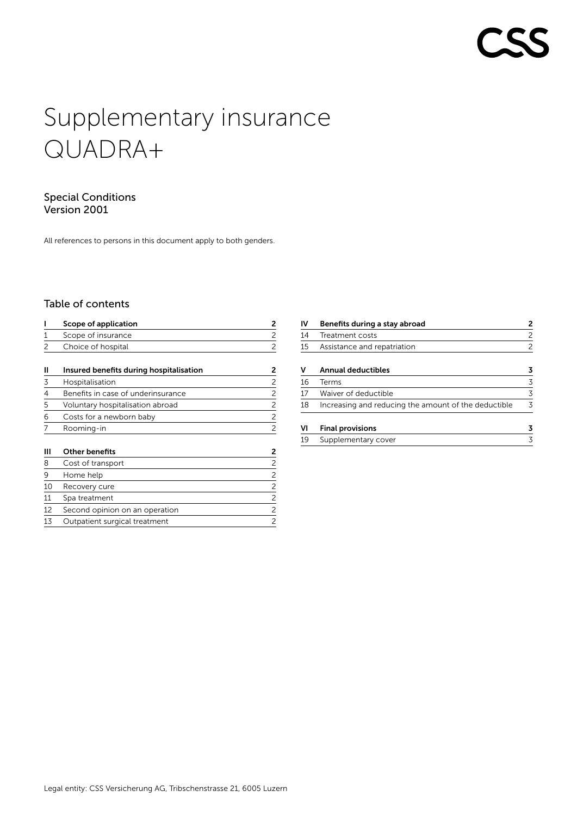# Supplementary insurance QUADRA+

# Special Conditions Version 2001

All references to persons in this document apply to both genders.

# Table of contents

|    | Scope of application                    | 2              |
|----|-----------------------------------------|----------------|
| 1  | Scope of insurance                      | $\overline{c}$ |
| 2  | Choice of hospital                      | 2              |
| н  | Insured benefits during hospitalisation | 2              |
| 3  | Hospitalisation                         | 2              |
| 4  | Benefits in case of underinsurance      | $\overline{c}$ |
| 5  | Voluntary hospitalisation abroad        | $\overline{c}$ |
| 6  | Costs for a newborn baby                | 2              |
|    | Rooming-in                              | $\overline{c}$ |
| Ш  | <b>Other benefits</b>                   | 2              |
| 8  | Cost of transport                       | $\overline{c}$ |
| 9  | Home help                               | $\overline{c}$ |
| 10 | Recovery cure                           | 2              |
| 11 | Spa treatment                           | $\overline{c}$ |
| 12 | Second opinion on an operation          | 2              |
| 13 | Outpatient surgical treatment           | $\overline{c}$ |

| 2 |
|---|
|   |
|   |
|   |
| 3 |
| 3 |
| 3 |
|   |
|   |
|   |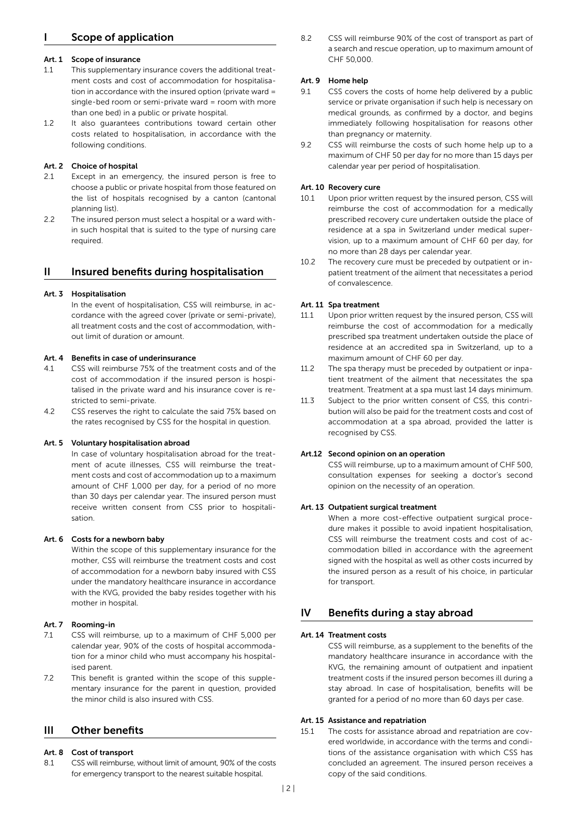# <span id="page-1-0"></span>Scope of application

#### Art. 1 Scope of insurance

- 1.1 This supplementary insurance covers the additional treatment costs and cost of accommodation for hospitalisation in accordance with the insured option (private ward = single-bed room or semi-private ward = room with more than one bed) in a public or private hospital.
- 1.2 It also guarantees contributions toward certain other costs related to hospitalisation, in accordance with the following conditions.

#### Art. 2 Choice of hospital

- 2.1 Except in an emergency, the insured person is free to choose a public or private hospital from those featured on the list of hospitals recognised by a canton (cantonal planning list).
- 2.2 The insured person must select a hospital or a ward within such hospital that is suited to the type of nursing care required.

#### II Insured benefits during hospitalisation

#### Art. 3 Hospitalisation

In the event of hospitalisation, CSS will reimburse, in accordance with the agreed cover (private or semi-private), all treatment costs and the cost of accommodation, without limit of duration or amount.

#### Art. 4 Benefits in case of underinsurance

- 4.1 CSS will reimburse 75 % of the treatment costs and of the cost of accommodation if the insured person is hospitalised in the private ward and his insurance cover is restricted to semi-private.
- 4.2 CSS reserves the right to calculate the said 75 % based on the rates recognised by CSS for the hospital in question.

#### Art. 5 Voluntary hospitalisation abroad

In case of voluntary hospitalisation abroad for the treatment of acute illnesses, CSS will reimburse the treatment costs and cost of accommodation up to a maximum amount of CHF 1,000 per day, for a period of no more than 30 days per calendar year. The insured person must receive written consent from CSS prior to hospitalisation.

#### Art. 6 Costs for a newborn baby

Within the scope of this supplementary insurance for the mother, CSS will reimburse the treatment costs and cost of accommodation for a newborn baby insured with CSS under the mandatory healthcare insurance in accordance with the KVG, provided the baby resides together with his mother in hospital.

#### Art. 7 Rooming-in

- 7.1 CSS will reimburse, up to a maximum of CHF 5,000 per calendar year, 90 % of the costs of hospital accommodation for a minor child who must accompany his hospitalised parent.
- 7.2 This benefit is granted within the scope of this supplementary insurance for the parent in question, provided the minor child is also insured with CSS.

# III Other benefits

#### Art. 8 Cost of transport

8.1 CSS will reimburse, without limit of amount, 90% of the costs for emergency transport to the nearest suitable hospital.

8.2 CSS will reimburse 90 % of the cost of transport as part of a search and rescue operation, up to maximum amount of CHF 50,000.

#### Art. 9 Home help

- 9.1 CSS covers the costs of home help delivered by a public service or private organisation if such help is necessary on medical grounds, as confirmed by a doctor, and begins immediately following hospitalisation for reasons other than pregnancy or maternity.
- 9.2 CSS will reimburse the costs of such home help up to a maximum of CHF 50 per day for no more than 15 days per calendar year per period of hospitalisation.

#### Art. 10 Recovery cure

- 10.1 Upon prior written request by the insured person, CSS will reimburse the cost of accommodation for a medically prescribed recovery cure undertaken outside the place of residence at a spa in Switzerland under medical supervision, up to a maximum amount of CHF 60 per day, for no more than 28 days per calendar year.
- 10.2 The recovery cure must be preceded by outpatient or inpatient treatment of the ailment that necessitates a period of convalescence.

#### Art. 11 Spa treatment

- 11.1 Upon prior written request by the insured person, CSS will reimburse the cost of accommodation for a medically prescribed spa treatment undertaken outside the place of residence at an accredited spa in Switzerland, up to a maximum amount of CHF 60 per day.
- 11.2 The spa therapy must be preceded by outpatient or inpatient treatment of the ailment that necessitates the spa treatment. Treatment at a spa must last 14 days minimum.
- 11.3 Subject to the prior written consent of CSS, this contribution will also be paid for the treatment costs and cost of accommodation at a spa abroad, provided the latter is recognised by CSS.

#### Art.12 Second opinion on an operation

CSS will reimburse, up to a maximum amount of CHF 500, consultation expenses for seeking a doctor's second opinion on the necessity of an operation.

#### Art. 13 Outpatient surgical treatment

When a more cost-effective outpatient surgical procedure makes it possible to avoid inpatient hospitalisation, CSS will reimburse the treatment costs and cost of accommodation billed in accordance with the agreement signed with the hospital as well as other costs incurred by the insured person as a result of his choice, in particular for transport.

## IV Benefits during a stay abroad

#### Art. 14 Treatment costs

CSS will reimburse, as a supplement to the benefits of the mandatory healthcare insurance in accordance with the KVG, the remaining amount of outpatient and inpatient treatment costs if the insured person becomes ill during a stay abroad. In case of hospitalisation, benefits will be granted for a period of no more than 60 days per case.

#### Art. 15 Assistance and repatriation

15.1 The costs for assistance abroad and repatriation are covered worldwide, in accordance with the terms and conditions of the assistance organisation with which CSS has concluded an agreement. The insured person receives a copy of the said conditions.